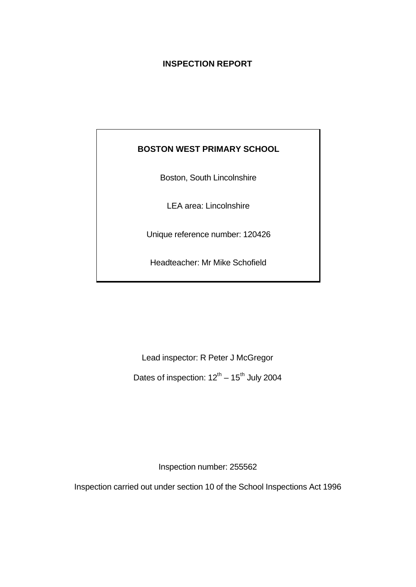# **INSPECTION REPORT**

# **BOSTON WEST PRIMARY SCHOOL**

Boston, South Lincolnshire

LEA area: Lincolnshire

Unique reference number: 120426

Headteacher: Mr Mike Schofield

Lead inspector: R Peter J McGregor

Dates of inspection:  $12^{th}$  –  $15^{th}$  July 2004

Inspection number: 255562

Inspection carried out under section 10 of the School Inspections Act 1996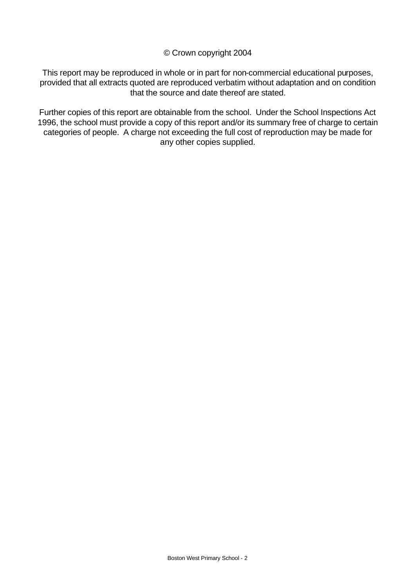#### © Crown copyright 2004

This report may be reproduced in whole or in part for non-commercial educational purposes, provided that all extracts quoted are reproduced verbatim without adaptation and on condition that the source and date thereof are stated.

Further copies of this report are obtainable from the school. Under the School Inspections Act 1996, the school must provide a copy of this report and/or its summary free of charge to certain categories of people. A charge not exceeding the full cost of reproduction may be made for any other copies supplied.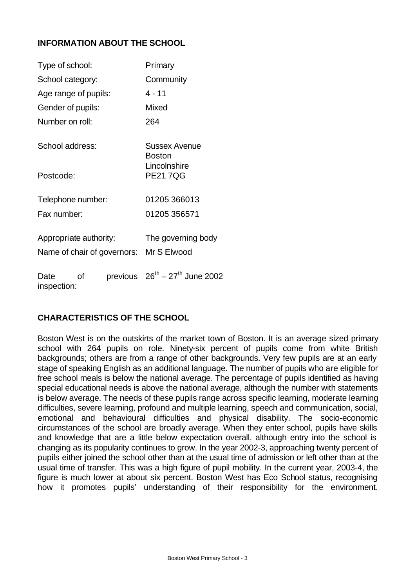# **INFORMATION ABOUT THE SCHOOL**

| Type of school:        |    |                             | Primary                                |  |  |
|------------------------|----|-----------------------------|----------------------------------------|--|--|
| School category:       |    |                             | Community                              |  |  |
| Age range of pupils:   |    |                             | $4 - 11$                               |  |  |
| Gender of pupils:      |    |                             | Mixed                                  |  |  |
| Number on roll:        |    |                             | 264                                    |  |  |
| School address:        |    |                             | Sussex Avenue<br><b>Boston</b>         |  |  |
| Postcode:              |    |                             | Lincolnshire<br><b>PE217QG</b>         |  |  |
| Telephone number:      |    |                             | 01205 366013                           |  |  |
| Fax number:            |    |                             | 01205 356571                           |  |  |
| Appropriate authority: |    | Name of chair of governors: | The governing body<br>Mr S Elwood      |  |  |
| Date<br>inspection:    | Οf |                             | previous $26^{th} - 27^{th}$ June 2002 |  |  |

# **CHARACTERISTICS OF THE SCHOOL**

Boston West is on the outskirts of the market town of Boston. It is an average sized primary school with 264 pupils on role. Ninety-six percent of pupils come from white British backgrounds; others are from a range of other backgrounds. Very few pupils are at an early stage of speaking English as an additional language. The number of pupils who are eligible for free school meals is below the national average. The percentage of pupils identified as having special educational needs is above the national average, although the number with statements is below average. The needs of these pupils range across specific learning, moderate learning difficulties, severe learning, profound and multiple learning, speech and communication, social, emotional and behavioural difficulties and physical disability. The socio-economic circumstances of the school are broadly average. When they enter school, pupils have skills and knowledge that are a little below expectation overall, although entry into the school is changing as its popularity continues to grow. In the year 2002-3, approaching twenty percent of pupils either joined the school other than at the usual time of admission or left other than at the usual time of transfer. This was a high figure of pupil mobility. In the current year, 2003-4, the figure is much lower at about six percent. Boston West has Eco School status, recognising how it promotes pupils' understanding of their responsibility for the environment.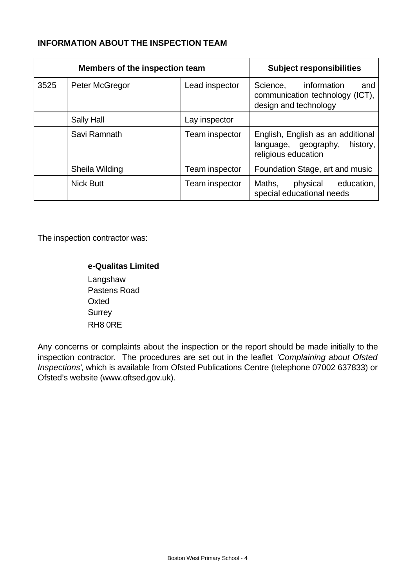# **INFORMATION ABOUT THE INSPECTION TEAM**

|                                                    | Members of the inspection team | <b>Subject responsibilities</b> |                                                                                              |
|----------------------------------------------------|--------------------------------|---------------------------------|----------------------------------------------------------------------------------------------|
| 3525<br>Peter McGregor                             |                                | Lead inspector                  | information<br>Science,<br>and<br>communication technology (ICT),<br>design and technology   |
|                                                    | Sally Hall                     | Lay inspector                   |                                                                                              |
| Savi Ramnath<br>Sheila Wilding<br><b>Nick Butt</b> |                                | Team inspector                  | English, English as an additional<br>history,<br>language, geography,<br>religious education |
|                                                    |                                | Team inspector                  | Foundation Stage, art and music                                                              |
|                                                    |                                | Team inspector                  | Maths,<br>physical<br>education,<br>special educational needs                                |

The inspection contractor was:

### **e-Qualitas Limited**

Langshaw Pastens Road **Oxted Surrey** RH8 0RE

Any concerns or complaints about the inspection or the report should be made initially to the inspection contractor. The procedures are set out in the leaflet *'Complaining about Ofsted Inspections'*, which is available from Ofsted Publications Centre (telephone 07002 637833) or Ofsted's website (www.oftsed.gov.uk).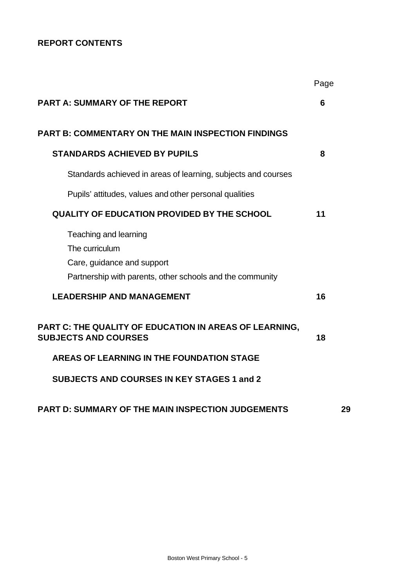# **REPORT CONTENTS**

|                                                                                                                                    | Page |
|------------------------------------------------------------------------------------------------------------------------------------|------|
| <b>PART A: SUMMARY OF THE REPORT</b>                                                                                               | 6    |
| <b>PART B: COMMENTARY ON THE MAIN INSPECTION FINDINGS</b>                                                                          |      |
| <b>STANDARDS ACHIEVED BY PUPILS</b>                                                                                                | 8    |
| Standards achieved in areas of learning, subjects and courses                                                                      |      |
| Pupils' attitudes, values and other personal qualities                                                                             |      |
| <b>QUALITY OF EDUCATION PROVIDED BY THE SCHOOL</b>                                                                                 | 11   |
| Teaching and learning<br>The curriculum<br>Care, guidance and support<br>Partnership with parents, other schools and the community |      |
| <b>LEADERSHIP AND MANAGEMENT</b>                                                                                                   | 16   |
| PART C: THE QUALITY OF EDUCATION IN AREAS OF LEARNING,<br><b>SUBJECTS AND COURSES</b>                                              | 18   |
| AREAS OF LEARNING IN THE FOUNDATION STAGE                                                                                          |      |
| <b>SUBJECTS AND COURSES IN KEY STAGES 1 and 2</b>                                                                                  |      |
| <b>PART D: SUMMARY OF THE MAIN INSPECTION JUDGEMENTS</b>                                                                           | 29   |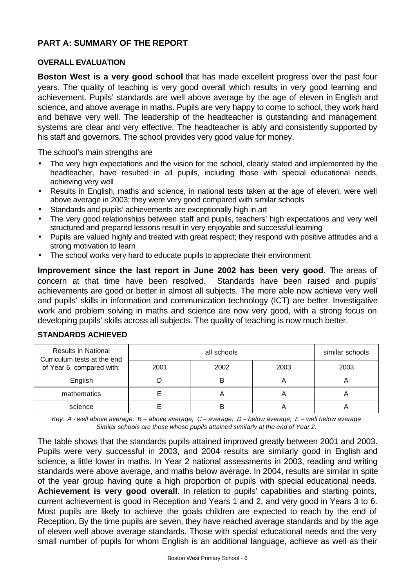## **PART A: SUMMARY OF THE REPORT**

#### **OVERALL EVALUATION**

**Boston West is a very good school** that has made excellent progress over the past four years. The quality of teaching is very good overall which results in very good learning and achievement. Pupils' standards are well above average by the age of eleven in English and science, and above average in maths. Pupils are very happy to come to school, they work hard and behave very well. The leadership of the headteacher is outstanding and management systems are clear and very effective. The headteacher is ably and consistently supported by his staff and governors. The school provides very good value for money.

The school's main strengths are

- The very high expectations and the vision for the school, clearly stated and implemented by the headteacher, have resulted in all pupils, including those with special educational needs, achieving very well
- Results in English, maths and science, in national tests taken at the age of eleven, were well above average in 2003; they were very good compared with similar schools
- Standards and pupils' achievements are exceptionally high in art
- The very good relationships between staff and pupils, teachers' high expectations and very well structured and prepared lessons result in very enjoyable and successful learning
- Pupils are valued highly and treated with great respect; they respond with positive attitudes and a strong motivation to learn
- The school works very hard to educate pupils to appreciate their environment

**Improvement since the last report in June 2002 has been very good**. The areas of concern at that time have been resolved. Standards have been raised and pupils' achievements are good or better in almost all subjects. The more able now achieve very well and pupils' skills in information and communication technology (ICT) are better. Investigative work and problem solving in maths and science are now very good, with a strong focus on developing pupils' skills across all subjects. The quality of teaching is now much better.

| <b>Results in National</b><br>Curriculum tests at the end |      | similar schools |      |      |
|-----------------------------------------------------------|------|-----------------|------|------|
| of Year 6, compared with:                                 | 2001 | 2002            | 2003 | 2003 |
| English                                                   |      |                 |      |      |
| mathematics                                               |      |                 |      |      |
| science                                                   |      |                 | A    |      |

#### **STANDARDS ACHIEVED**

*Key: A - well above average; B – above average; C – average; D – below average; E – well below average Similar schools are those whose pupils attained similarly at the end of Year 2.*

The table shows that the standards pupils attained improved greatly between 2001 and 2003. Pupils were very successful in 2003, and 2004 results are similarly good in English and science, a little lower in maths. In Year 2 national assessments in 2003, reading and writing standards were above average, and maths below average. In 2004, results are similar in spite of the year group having quite a high proportion of pupils with special educational needs. **Achievement is very good overall**. In relation to pupils' capabilities and starting points, current achievement is good in Reception and Years 1 and 2, and very good in Years 3 to 6. Most pupils are likely to achieve the goals children are expected to reach by the end of Reception. By the time pupils are seven, they have reached average standards and by the age of eleven well above average standards. Those with special educational needs and the very small number of pupils for whom English is an additional language, achieve as well as their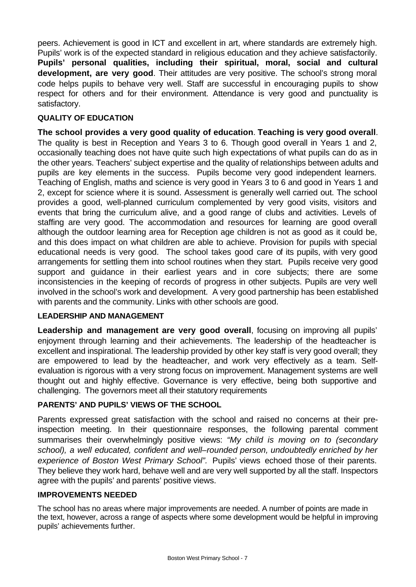peers. Achievement is good in ICT and excellent in art, where standards are extremely high. Pupils' work is of the expected standard in religious education and they achieve satisfactorily. **Pupils' personal qualities, including their spiritual, moral, social and cultural development, are very good.** Their attitudes are very positive. The school's strong moral code helps pupils to behave very well. Staff are successful in encouraging pupils to show respect for others and for their environment. Attendance is very good and punctuality is satisfactory.

### **QUALITY OF EDUCATION**

**The school provides a very good quality of education**. **Teaching is very good overall**. The quality is best in Reception and Years 3 to 6. Though good overall in Years 1 and 2, occasionally teaching does not have quite such high expectations of what pupils can do as in the other years. Teachers' subject expertise and the quality of relationships between adults and pupils are key elements in the success. Pupils become very good independent learners. Teaching of English, maths and science is very good in Years 3 to 6 and good in Years 1 and 2, except for science where it is sound. Assessment is generally well carried out. The school provides a good, well-planned curriculum complemented by very good visits, visitors and events that bring the curriculum alive, and a good range of clubs and activities. Levels of staffing are very good. The accommodation and resources for learning are good overall although the outdoor learning area for Reception age children is not as good as it could be, and this does impact on what children are able to achieve. Provision for pupils with special educational needs is very good. The school takes good care of its pupils, with very good arrangements for settling them into school routines when they start. Pupils receive very good support and guidance in their earliest years and in core subjects; there are some inconsistencies in the keeping of records of progress in other subjects. Pupils are very well involved in the school's work and development. A very good partnership has been established with parents and the community. Links with other schools are good.

## **LEADERSHIP AND MANAGEMENT**

**Leadership and management are very good overall**, focusing on improving all pupils' enjoyment through learning and their achievements. The leadership of the headteacher is excellent and inspirational. The leadership provided by other key staff is very good overall; they are empowered to lead by the headteacher, and work very effectively as a team. Selfevaluation is rigorous with a very strong focus on improvement. Management systems are well thought out and highly effective. Governance is very effective, being both supportive and challenging. The governors meet all their statutory requirements

### **PARENTS' AND PUPILS' VIEWS OF THE SCHOOL**

Parents expressed great satisfaction with the school and raised no concerns at their preinspection meeting. In their questionnaire responses, the following parental comment summarises their overwhelmingly positive views: *"My child is moving on to (secondary school), a well educated, confident and well–rounded person, undoubtedly enriched by her experience of Boston West Primary School".* Pupils' views echoed those of their parents. They believe they work hard, behave well and are very well supported by all the staff. Inspectors agree with the pupils' and parents' positive views.

### **IMPROVEMENTS NEEDED**

The school has no areas where major improvements are needed. A number of points are made in the text, however, across a range of aspects where some development would be helpful in improving pupils' achievements further.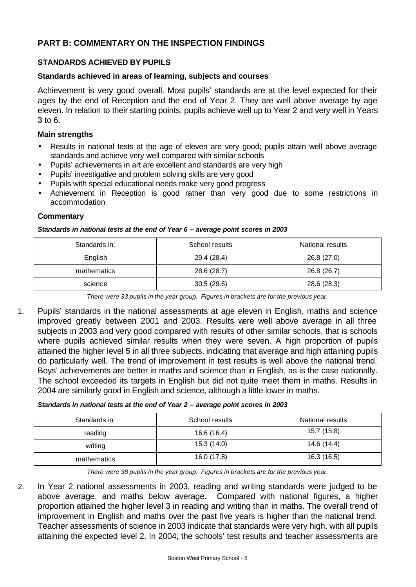# **PART B: COMMENTARY ON THE INSPECTION FINDINGS**

### **STANDARDS ACHIEVED BY PUPILS**

#### **Standards achieved in areas of learning, subjects and courses**

Achievement is very good overall. Most pupils' standards are at the level expected for their ages by the end of Reception and the end of Year 2. They are well above average by age eleven. In relation to their starting points, pupils achieve well up to Year 2 and very well in Years 3 to 6.

#### **Main strengths**

- Results in national tests at the age of eleven are very good; pupils attain well above average standards and achieve very well compared with similar schools
- Pupils' achievements in art are excellent and standards are very high
- Pupils' investigative and problem solving skills are very good
- Pupils with special educational needs make very good progress
- Achievement in Reception is good rather than very good due to some restrictions in accommodation

#### **Commentary**

#### *Standards in national tests at the end of Year 6 – average point scores in 2003*

| Standards in: | School results | National results |  |
|---------------|----------------|------------------|--|
| English       | 29.4 (28.4)    | 26.8 (27.0)      |  |
| mathematics   | 28.6 (28.7)    | 26.8 (26.7)      |  |
| science       | 30.5(29.6)     | 28.6 (28.3)      |  |

*There were 33 pupils in the year group. Figures in brackets are for the previous year.*

1. Pupils' standards in the national assessments at age eleven in English, maths and science improved greatly between 2001 and 2003. Results were well above average in all three subjects in 2003 and very good compared with results of other similar schools, that is schools where pupils achieved similar results when they were seven. A high proportion of pupils attained the higher level 5 in all three subjects, indicating that average and high attaining pupils do particularly well. The trend of improvement in test results is well above the national trend. Boys' achievements are better in maths and science than in English, as is the case nationally. The school exceeded its targets in English but did not quite meet them in maths. Results in 2004 are similarly good in English and science, although a little lower in maths.

#### *Standards in national tests at the end of Year 2 – average point scores in 2003*

| Standards in: | School results | National results |  |  |
|---------------|----------------|------------------|--|--|
| reading       | 16.6 (16.4)    | 15.7 (15.8)      |  |  |
| writing       | 15.3(14.0)     | 14.6 (14.4)      |  |  |
| mathematics   | 16.0 (17.8)    | 16.3 (16.5)      |  |  |

*There were 38 pupils in the year group. Figures in brackets are for the previous year.*

2. In Year 2 national assessments in 2003, reading and writing standards were judged to be above average, and maths below average. Compared with national figures, a higher proportion attained the higher level 3 in reading and writing than in maths. The overall trend of improvement in English and maths over the past five years is higher than the national trend. Teacher assessments of science in 2003 indicate that standards were very high, with all pupils attaining the expected level 2. In 2004, the schools' test results and teacher assessments are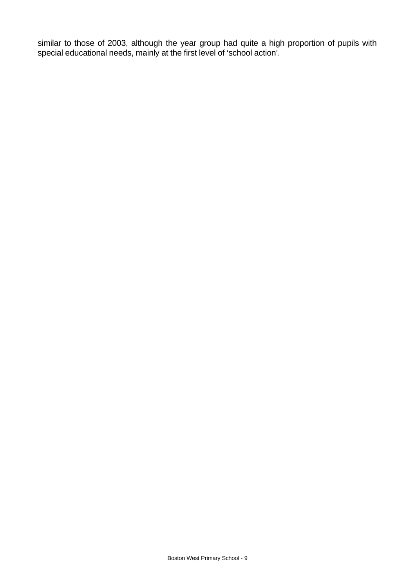similar to those of 2003, although the year group had quite a high proportion of pupils with special educational needs, mainly at the first level of 'school action'.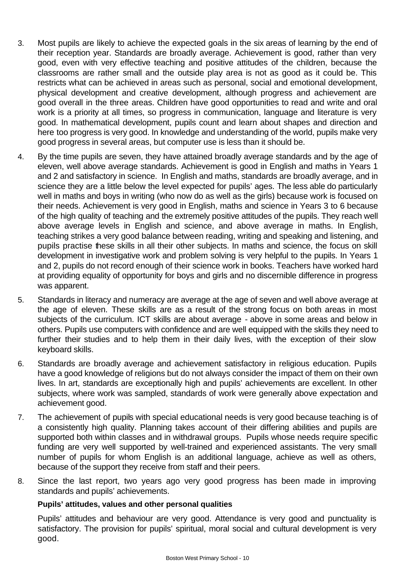- 3. Most pupils are likely to achieve the expected goals in the six areas of learning by the end of their reception year. Standards are broadly average. Achievement is good, rather than very good, even with very effective teaching and positive attitudes of the children, because the classrooms are rather small and the outside play area is not as good as it could be. This restricts what can be achieved in areas such as personal, social and emotional development, physical development and creative development, although progress and achievement are good overall in the three areas. Children have good opportunities to read and write and oral work is a priority at all times, so progress in communication, language and literature is very good. In mathematical development, pupils count and learn about shapes and direction and here too progress is very good. In knowledge and understanding of the world, pupils make very good progress in several areas, but computer use is less than it should be.
- 4. By the time pupils are seven, they have attained broadly average standards and by the age of eleven, well above average standards. Achievement is good in English and maths in Years 1 and 2 and satisfactory in science. In English and maths, standards are broadly average, and in science they are a little below the level expected for pupils' ages. The less able do particularly well in maths and boys in writing (who now do as well as the girls) because work is focused on their needs. Achievement is very good in English, maths and science in Years 3 to 6 because of the high quality of teaching and the extremely positive attitudes of the pupils. They reach well above average levels in English and science, and above average in maths. In English, teaching strikes a very good balance between reading, writing and speaking and listening, and pupils practise these skills in all their other subjects. In maths and science, the focus on skill development in investigative work and problem solving is very helpful to the pupils. In Years 1 and 2, pupils do not record enough of their science work in books. Teachers have worked hard at providing equality of opportunity for boys and girls and no discernible difference in progress was apparent.
- 5. Standards in literacy and numeracy are average at the age of seven and well above average at the age of eleven. These skills are as a result of the strong focus on both areas in most subjects of the curriculum. ICT skills are about average - above in some areas and below in others. Pupils use computers with confidence and are well equipped with the skills they need to further their studies and to help them in their daily lives, with the exception of their slow keyboard skills.
- 6. Standards are broadly average and achievement satisfactory in religious education. Pupils have a good knowledge of religions but do not always consider the impact of them on their own lives. In art, standards are exceptionally high and pupils' achievements are excellent. In other subjects, where work was sampled, standards of work were generally above expectation and achievement good.
- 7. The achievement of pupils with special educational needs is very good because teaching is of a consistently high quality. Planning takes account of their differing abilities and pupils are supported both within classes and in withdrawal groups. Pupils whose needs require specific funding are very well supported by well-trained and experienced assistants. The very small number of pupils for whom English is an additional language, achieve as well as others, because of the support they receive from staff and their peers.
- 8. Since the last report, two years ago very good progress has been made in improving standards and pupils' achievements.

### **Pupils' attitudes, values and other personal qualities**

Pupils' attitudes and behaviour are very good. Attendance is very good and punctuality is satisfactory. The provision for pupils' spiritual, moral social and cultural development is very good.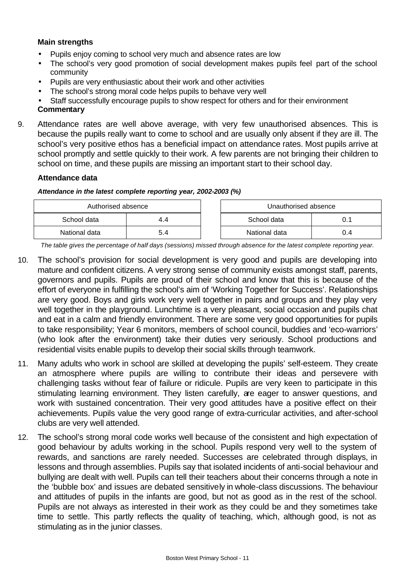### **Main strengths**

- Pupils enjoy coming to school very much and absence rates are low
- The school's very good promotion of social development makes pupils feel part of the school community
- Pupils are very enthusiastic about their work and other activities
- The school's strong moral code helps pupils to behave very well
- Staff successfully encourage pupils to show respect for others and for their environment

#### **Commentary**

9. Attendance rates are well above average, with very few unauthorised absences. This is because the pupils really want to come to school and are usually only absent if they are ill. The school's very positive ethos has a beneficial impact on attendance rates. Most pupils arrive at school promptly and settle quickly to their work. A few parents are not bringing their children to school on time, and these pupils are missing an important start to their school day.

#### **Attendance data**

#### *Attendance in the latest complete reporting year, 2002-2003 (%)*

| Authorised absence |     |  | Unauthorised absence |     |
|--------------------|-----|--|----------------------|-----|
| School data        | 4.4 |  | School data          |     |
| National data      | 5.4 |  | National data        | J.4 |

*The table gives the percentage of half days (sessions) missed through absence for the latest complete reporting year.*

- 10. The school's provision for social development is very good and pupils are developing into mature and confident citizens. A very strong sense of community exists amongst staff, parents, governors and pupils. Pupils are proud of their school and know that this is because of the effort of everyone in fulfilling the school's aim of 'Working Together for Success'. Relationships are very good. Boys and girls work very well together in pairs and groups and they play very well together in the playground. Lunchtime is a very pleasant, social occasion and pupils chat and eat in a calm and friendly environment. There are some very good opportunities for pupils to take responsibility; Year 6 monitors, members of school council, buddies and 'eco-warriors' (who look after the environment) take their duties very seriously. School productions and residential visits enable pupils to develop their social skills through teamwork.
- 11. Many adults who work in school are skilled at developing the pupils' self-esteem. They create an atmosphere where pupils are willing to contribute their ideas and persevere with challenging tasks without fear of failure or ridicule. Pupils are very keen to participate in this stimulating learning environment. They listen carefully, are eager to answer questions, and work with sustained concentration. Their very good attitudes have a positive effect on their achievements. Pupils value the very good range of extra-curricular activities, and after-school clubs are very well attended.
- 12. The school's strong moral code works well because of the consistent and high expectation of good behaviour by adults working in the school. Pupils respond very well to the system of rewards, and sanctions are rarely needed. Successes are celebrated through displays, in lessons and through assemblies. Pupils say that isolated incidents of anti-social behaviour and bullying are dealt with well. Pupils can tell their teachers about their concerns through a note in the 'bubble box' and issues are debated sensitively in whole-class discussions. The behaviour and attitudes of pupils in the infants are good, but not as good as in the rest of the school. Pupils are not always as interested in their work as they could be and they sometimes take time to settle. This partly reflects the quality of teaching, which, although good, is not as stimulating as in the junior classes.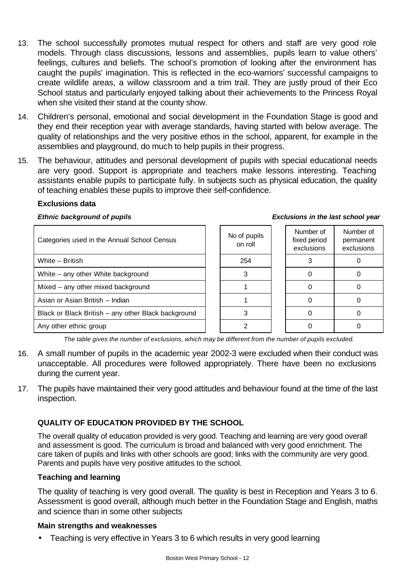- 13. The school successfully promotes mutual respect for others and staff are very good role models. Through class discussions, lessons and assemblies, pupils learn to value others' feelings, cultures and beliefs. The school's promotion of looking after the environment has caught the pupils' imagination. This is reflected in the eco-warriors' successful campaigns to create wildlife areas, a willow classroom and a trim trail. They are justly proud of their Eco School status and particularly enjoyed talking about their achievements to the Princess Royal when she visited their stand at the county show.
- 14. Children's personal, emotional and social development in the Foundation Stage is good and they end their reception year with average standards, having started with below average. The quality of relationships and the very positive ethos in the school, apparent, for example in the assemblies and playground, do much to help pupils in their progress.
- 15. The behaviour, attitudes and personal development of pupils with special educational needs are very good. Support is appropriate and teachers make lessons interesting. Teaching assistants enable pupils to participate fully. In subjects such as physical education, the quality of teaching enables these pupils to improve their self-confidence.

#### **Exclusions data**

#### *Ethnic background of pupils Exclusions in the last school year*

| Categories used in the Annual School Census         | No of pupils<br>on roll | Number of<br>fixed period<br>exclusions | Number of<br>permanent<br>exclusions |
|-----------------------------------------------------|-------------------------|-----------------------------------------|--------------------------------------|
| White - British                                     | 254                     |                                         |                                      |
| White – any other White background                  |                         |                                         |                                      |
| Mixed - any other mixed background                  |                         |                                         |                                      |
| Asian or Asian British - Indian                     |                         |                                         |                                      |
| Black or Black British - any other Black background |                         |                                         |                                      |
| Any other ethnic group                              |                         |                                         |                                      |

*The table gives the number of exclusions, which may be different from the number of pupils excluded.*

- 16. A small number of pupils in the academic year 2002-3 were excluded when their conduct was unacceptable. All procedures were followed appropriately. There have been no exclusions during the current year.
- 17. The pupils have maintained their very good attitudes and behaviour found at the time of the last inspection.

### **QUALITY OF EDUCATION PROVIDED BY THE SCHOOL**

The overall quality of education provided is very good. Teaching and learning are very good overall and assessment is good. The curriculum is broad and balanced with very good enrichment. The care taken of pupils and links with other schools are good; links with the community are very good. Parents and pupils have very positive attitudes to the school.

#### **Teaching and learning**

The quality of teaching is very good overall. The quality is best in Reception and Years 3 to 6. Assessment is good overall, although much better in the Foundation Stage and English, maths and science than in some other subjects

#### **Main strengths and weaknesses**

• Teaching is very effective in Years 3 to 6 which results in very good learning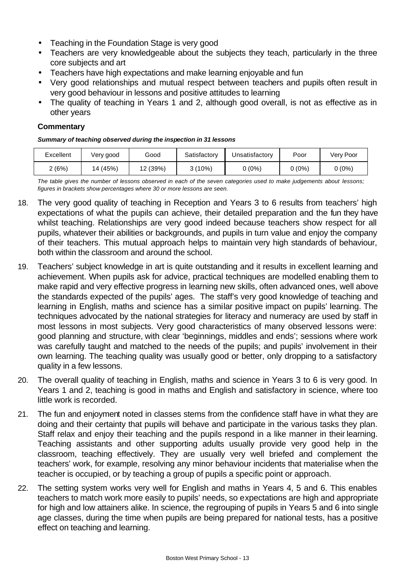- Teaching in the Foundation Stage is very good
- Teachers are very knowledgeable about the subjects they teach, particularly in the three core subjects and art
- Teachers have high expectations and make learning enjoyable and fun
- Very good relationships and mutual respect between teachers and pupils often result in very good behaviour in lessons and positive attitudes to learning
- The quality of teaching in Years 1 and 2, although good overall, is not as effective as in other years

### **Commentary**

#### *Summary of teaching observed during the inspection in 31 lessons*

| Excellent | Very good | Good     | Satisfactory | Jnsatisfactory | Poor     | Verv Poor |
|-----------|-----------|----------|--------------|----------------|----------|-----------|
| (6%)      | 14 (45%)  | 12 (39%) | $3(10\%)$    | $0(0\%)$       | $0(0\%)$ | $0(0\%)$  |

*The table gives the number of lessons observed in each of the seven categories used to make judgements about lessons; figures in brackets show percentages where 30 or more lessons are seen.*

- 18. The very good quality of teaching in Reception and Years 3 to 6 results from teachers' high expectations of what the pupils can achieve, their detailed preparation and the fun they have whilst teaching. Relationships are very good indeed because teachers show respect for all pupils, whatever their abilities or backgrounds, and pupils in turn value and enjoy the company of their teachers. This mutual approach helps to maintain very high standards of behaviour, both within the classroom and around the school.
- 19. Teachers' subject knowledge in art is quite outstanding and it results in excellent learning and achievement. When pupils ask for advice, practical techniques are modelled enabling them to make rapid and very effective progress in learning new skills, often advanced ones, well above the standards expected of the pupils' ages. The staff's very good knowledge of teaching and learning in English, maths and science has a similar positive impact on pupils' learning. The techniques advocated by the national strategies for literacy and numeracy are used by staff in most lessons in most subjects. Very good characteristics of many observed lessons were: good planning and structure, with clear 'beginnings, middles and ends'; sessions where work was carefully taught and matched to the needs of the pupils; and pupils' involvement in their own learning. The teaching quality was usually good or better, only dropping to a satisfactory quality in a few lessons.
- 20. The overall quality of teaching in English, maths and science in Years 3 to 6 is very good. In Years 1 and 2, teaching is good in maths and English and satisfactory in science, where too little work is recorded.
- 21. The fun and enjoyment noted in classes stems from the confidence staff have in what they are doing and their certainty that pupils will behave and participate in the various tasks they plan. Staff relax and enjoy their teaching and the pupils respond in a like manner in their learning. Teaching assistants and other supporting adults usually provide very good help in the classroom, teaching effectively. They are usually very well briefed and complement the teachers' work, for example, resolving any minor behaviour incidents that materialise when the teacher is occupied, or by teaching a group of pupils a specific point or approach.
- 22. The setting system works very well for English and maths in Years 4, 5 and 6. This enables teachers to match work more easily to pupils' needs, so expectations are high and appropriate for high and low attainers alike. In science, the regrouping of pupils in Years 5 and 6 into single age classes, during the time when pupils are being prepared for national tests, has a positive effect on teaching and learning.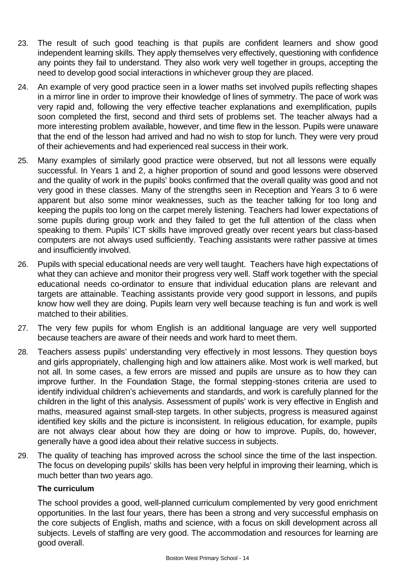- 23. The result of such good teaching is that pupils are confident learners and show good independent learning skills. They apply themselves very effectively, questioning with confidence any points they fail to understand. They also work very well together in groups, accepting the need to develop good social interactions in whichever group they are placed.
- 24. An example of very good practice seen in a lower maths set involved pupils reflecting shapes in a mirror line in order to improve their knowledge of lines of symmetry. The pace of work was very rapid and, following the very effective teacher explanations and exemplification, pupils soon completed the first, second and third sets of problems set. The teacher always had a more interesting problem available, however, and time flew in the lesson. Pupils were unaware that the end of the lesson had arrived and had no wish to stop for lunch. They were very proud of their achievements and had experienced real success in their work.
- 25. Many examples of similarly good practice were observed, but not all lessons were equally successful. In Years 1 and 2, a higher proportion of sound and good lessons were observed and the quality of work in the pupils' books confirmed that the overall quality was good and not very good in these classes. Many of the strengths seen in Reception and Years 3 to 6 were apparent but also some minor weaknesses, such as the teacher talking for too long and keeping the pupils too long on the carpet merely listening. Teachers had lower expectations of some pupils during group work and they failed to get the full attention of the class when speaking to them. Pupils' ICT skills have improved greatly over recent years but class-based computers are not always used sufficiently. Teaching assistants were rather passive at times and insufficiently involved.
- 26. Pupils with special educational needs are very well taught. Teachers have high expectations of what they can achieve and monitor their progress very well. Staff work together with the special educational needs co-ordinator to ensure that individual education plans are relevant and targets are attainable. Teaching assistants provide very good support in lessons, and pupils know how well they are doing. Pupils learn very well because teaching is fun and work is well matched to their abilities.
- 27. The very few pupils for whom English is an additional language are very well supported because teachers are aware of their needs and work hard to meet them.
- 28. Teachers assess pupils' understanding very effectively in most lessons. They question boys and girls appropriately, challenging high and low attainers alike. Most work is well marked, but not all. In some cases, a few errors are missed and pupils are unsure as to how they can improve further. In the Foundation Stage, the formal stepping-stones criteria are used to identify individual children's achievements and standards, and work is carefully planned for the children in the light of this analysis. Assessment of pupils' work is very effective in English and maths, measured against small-step targets. In other subjects, progress is measured against identified key skills and the picture is inconsistent. In religious education, for example, pupils are not always clear about how they are doing or how to improve. Pupils, do, however, generally have a good idea about their relative success in subjects.
- 29. The quality of teaching has improved across the school since the time of the last inspection. The focus on developing pupils' skills has been very helpful in improving their learning, which is much better than two years ago.

## **The curriculum**

The school provides a good, well-planned curriculum complemented by very good enrichment opportunities. In the last four years, there has been a strong and very successful emphasis on the core subjects of English, maths and science, with a focus on skill development across all subjects. Levels of staffing are very good. The accommodation and resources for learning are good overall.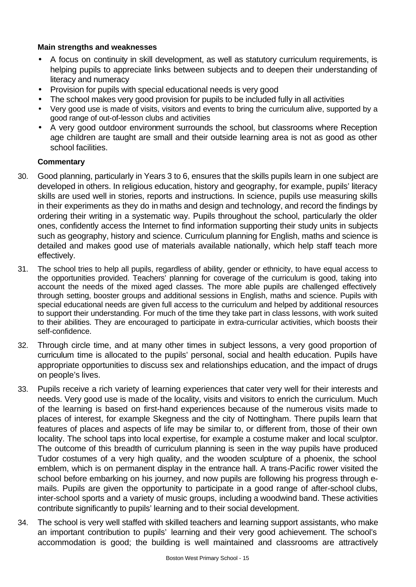### **Main strengths and weaknesses**

- A focus on continuity in skill development, as well as statutory curriculum requirements, is helping pupils to appreciate links between subjects and to deepen their understanding of literacy and numeracy
- Provision for pupils with special educational needs is very good
- The school makes very good provision for pupils to be included fully in all activities
- Very good use is made of visits, visitors and events to bring the curriculum alive, supported by a good range of out-of-lesson clubs and activities
- A very good outdoor environment surrounds the school, but classrooms where Reception age children are taught are small and their outside learning area is not as good as other school facilities.

- 30. Good planning, particularly in Years 3 to 6, ensures that the skills pupils learn in one subject are developed in others. In religious education, history and geography, for example, pupils' literacy skills are used well in stories, reports and instructions. In science, pupils use measuring skills in their experiments as they do in maths and design and technology, and record the findings by ordering their writing in a systematic way. Pupils throughout the school, particularly the older ones, confidently access the Internet to find information supporting their study units in subjects such as geography, history and science. Curriculum planning for English, maths and science is detailed and makes good use of materials available nationally, which help staff teach more effectively.
- 31. The school tries to help all pupils, regardless of ability, gender or ethnicity, to have equal access to the opportunities provided. Teachers' planning for coverage of the curriculum is good, taking into account the needs of the mixed aged classes. The more able pupils are challenged effectively through setting, booster groups and additional sessions in English, maths and science. Pupils with special educational needs are given full access to the curriculum and helped by additional resources to support their understanding. For much of the time they take part in class lessons, with work suited to their abilities. They are encouraged to participate in extra-curricular activities, which boosts their self-confidence.
- 32. Through circle time, and at many other times in subject lessons, a very good proportion of curriculum time is allocated to the pupils' personal, social and health education. Pupils have appropriate opportunities to discuss sex and relationships education, and the impact of drugs on people's lives.
- 33. Pupils receive a rich variety of learning experiences that cater very well for their interests and needs. Very good use is made of the locality, visits and visitors to enrich the curriculum. Much of the learning is based on first-hand experiences because of the numerous visits made to places of interest, for example Skegness and the city of Nottingham. There pupils learn that features of places and aspects of life may be similar to, or different from, those of their own locality. The school taps into local expertise, for example a costume maker and local sculptor. The outcome of this breadth of curriculum planning is seen in the way pupils have produced Tudor costumes of a very high quality, and the wooden sculpture of a phoenix, the school emblem, which is on permanent display in the entrance hall. A trans-Pacific rower visited the school before embarking on his journey, and now pupils are following his progress through emails. Pupils are given the opportunity to participate in a good range of after-school clubs, inter-school sports and a variety of music groups, including a woodwind band. These activities contribute significantly to pupils' learning and to their social development.
- 34. The school is very well staffed with skilled teachers and learning support assistants, who make an important contribution to pupils' learning and their very good achievement. The school's accommodation is good; the building is well maintained and classrooms are attractively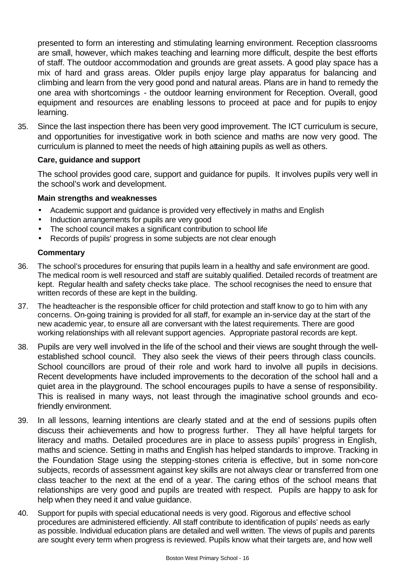presented to form an interesting and stimulating learning environment. Reception classrooms are small, however, which makes teaching and learning more difficult, despite the best efforts of staff. The outdoor accommodation and grounds are great assets. A good play space has a mix of hard and grass areas. Older pupils enjoy large play apparatus for balancing and climbing and learn from the very good pond and natural areas. Plans are in hand to remedy the one area with shortcomings - the outdoor learning environment for Reception. Overall, good equipment and resources are enabling lessons to proceed at pace and for pupils to enjoy learning.

35. Since the last inspection there has been very good improvement. The ICT curriculum is secure, and opportunities for investigative work in both science and maths are now very good. The curriculum is planned to meet the needs of high attaining pupils as well as others.

#### **Care, guidance and support**

The school provides good care, support and guidance for pupils. It involves pupils very well in the school's work and development.

#### **Main strengths and weaknesses**

- Academic support and guidance is provided very effectively in maths and English
- Induction arrangements for pupils are very good
- The school council makes a significant contribution to school life
- Records of pupils' progress in some subjects are not clear enough

- 36. The school's procedures for ensuring that pupils learn in a healthy and safe environment are good. The medical room is well resourced and staff are suitably qualified. Detailed records of treatment are kept. Regular health and safety checks take place. The school recognises the need to ensure that written records of these are kept in the building.
- 37. The headteacher is the responsible officer for child protection and staff know to go to him with any concerns. On-going training is provided for all staff, for example an in-service day at the start of the new academic year, to ensure all are conversant with the latest requirements. There are good working relationships with all relevant support agencies. Appropriate pastoral records are kept.
- 38. Pupils are very well involved in the life of the school and their views are sought through the wellestablished school council. They also seek the views of their peers through class councils. School councillors are proud of their role and work hard to involve all pupils in decisions. Recent developments have included improvements to the decoration of the school hall and a quiet area in the playground. The school encourages pupils to have a sense of responsibility. This is realised in many ways, not least through the imaginative school grounds and ecofriendly environment.
- 39. In all lessons, learning intentions are clearly stated and at the end of sessions pupils often discuss their achievements and how to progress further. They all have helpful targets for literacy and maths. Detailed procedures are in place to assess pupils' progress in English, maths and science. Setting in maths and English has helped standards to improve. Tracking in the Foundation Stage using the stepping-stones criteria is effective, but in some non-core subjects, records of assessment against key skills are not always clear or transferred from one class teacher to the next at the end of a year. The caring ethos of the school means that relationships are very good and pupils are treated with respect. Pupils are happy to ask for help when they need it and value guidance.
- 40. Support for pupils with special educational needs is very good. Rigorous and effective school procedures are administered efficiently. All staff contribute to identification of pupils' needs as early as possible. Individual education plans are detailed and well written. The views of pupils and parents are sought every term when progress is reviewed. Pupils know what their targets are, and how well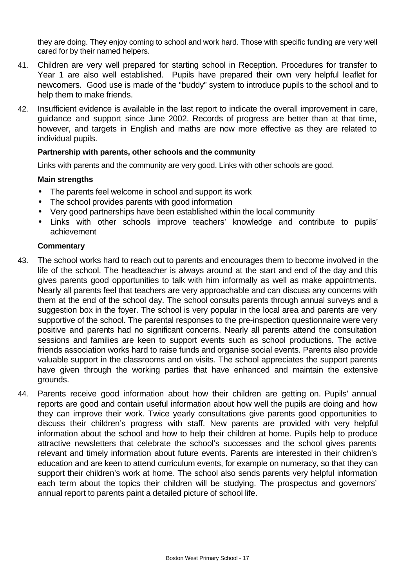they are doing. They enjoy coming to school and work hard. Those with specific funding are very well cared for by their named helpers.

- 41. Children are very well prepared for starting school in Reception. Procedures for transfer to Year 1 are also well established. Pupils have prepared their own very helpful leaflet for newcomers. Good use is made of the "buddy" system to introduce pupils to the school and to help them to make friends.
- 42. Insufficient evidence is available in the last report to indicate the overall improvement in care, guidance and support since June 2002. Records of progress are better than at that time, however, and targets in English and maths are now more effective as they are related to individual pupils.

#### **Partnership with parents, other schools and the community**

Links with parents and the community are very good. Links with other schools are good.

### **Main strengths**

- The parents feel welcome in school and support its work
- The school provides parents with good information
- Very good partnerships have been established within the local community
- Links with other schools improve teachers' knowledge and contribute to pupils' achievement

- 43. The school works hard to reach out to parents and encourages them to become involved in the life of the school. The headteacher is always around at the start and end of the day and this gives parents good opportunities to talk with him informally as well as make appointments. Nearly all parents feel that teachers are very approachable and can discuss any concerns with them at the end of the school day. The school consults parents through annual surveys and a suggestion box in the foyer. The school is very popular in the local area and parents are very supportive of the school. The parental responses to the pre-inspection questionnaire were very positive and parents had no significant concerns. Nearly all parents attend the consultation sessions and families are keen to support events such as school productions. The active friends association works hard to raise funds and organise social events. Parents also provide valuable support in the classrooms and on visits. The school appreciates the support parents have given through the working parties that have enhanced and maintain the extensive grounds.
- 44. Parents receive good information about how their children are getting on. Pupils' annual reports are good and contain useful information about how well the pupils are doing and how they can improve their work. Twice yearly consultations give parents good opportunities to discuss their children's progress with staff. New parents are provided with very helpful information about the school and how to help their children at home. Pupils help to produce attractive newsletters that celebrate the school's successes and the school gives parents relevant and timely information about future events. Parents are interested in their children's education and are keen to attend curriculum events, for example on numeracy, so that they can support their children's work at home. The school also sends parents very helpful information each term about the topics their children will be studying. The prospectus and governors' annual report to parents paint a detailed picture of school life.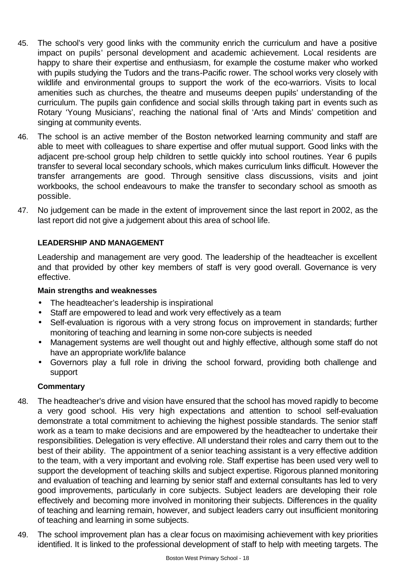- 45. The school's very good links with the community enrich the curriculum and have a positive impact on pupils' personal development and academic achievement. Local residents are happy to share their expertise and enthusiasm, for example the costume maker who worked with pupils studying the Tudors and the trans-Pacific rower. The school works very closely with wildlife and environmental groups to support the work of the eco-warriors. Visits to local amenities such as churches, the theatre and museums deepen pupils' understanding of the curriculum. The pupils gain confidence and social skills through taking part in events such as Rotary 'Young Musicians', reaching the national final of 'Arts and Minds' competition and singing at community events.
- 46. The school is an active member of the Boston networked learning community and staff are able to meet with colleagues to share expertise and offer mutual support. Good links with the adjacent pre-school group help children to settle quickly into school routines. Year 6 pupils transfer to several local secondary schools, which makes curriculum links difficult. However the transfer arrangements are good. Through sensitive class discussions, visits and joint workbooks, the school endeavours to make the transfer to secondary school as smooth as possible.
- 47. No judgement can be made in the extent of improvement since the last report in 2002, as the last report did not give a judgement about this area of school life.

## **LEADERSHIP AND MANAGEMENT**

Leadership and management are very good. The leadership of the headteacher is excellent and that provided by other key members of staff is very good overall. Governance is very effective.

### **Main strengths and weaknesses**

- The headteacher's leadership is inspirational
- Staff are empowered to lead and work very effectively as a team
- Self-evaluation is rigorous with a very strong focus on improvement in standards; further monitoring of teaching and learning in some non-core subjects is needed
- Management systems are well thought out and highly effective, although some staff do not have an appropriate work/life balance
- Governors play a full role in driving the school forward, providing both challenge and support

- 48. The headteacher's drive and vision have ensured that the school has moved rapidly to become a very good school. His very high expectations and attention to school self-evaluation demonstrate a total commitment to achieving the highest possible standards. The senior staff work as a team to make decisions and are empowered by the headteacher to undertake their responsibilities. Delegation is very effective. All understand their roles and carry them out to the best of their ability. The appointment of a senior teaching assistant is a very effective addition to the team, with a very important and evolving role. Staff expertise has been used very well to support the development of teaching skills and subject expertise. Rigorous planned monitoring and evaluation of teaching and learning by senior staff and external consultants has led to very good improvements, particularly in core subjects. Subject leaders are developing their role effectively and becoming more involved in monitoring their subjects. Differences in the quality of teaching and learning remain, however, and subject leaders carry out insufficient monitoring of teaching and learning in some subjects.
- 49. The school improvement plan has a clear focus on maximising achievement with key priorities identified. It is linked to the professional development of staff to help with meeting targets. The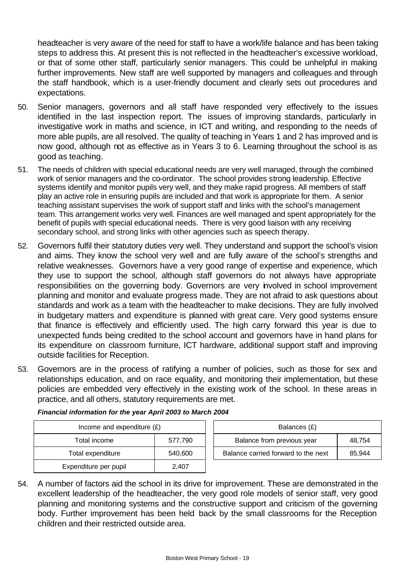headteacher is very aware of the need for staff to have a work/life balance and has been taking steps to address this. At present this is not reflected in the headteacher's excessive workload, or that of some other staff, particularly senior managers. This could be unhelpful in making further improvements. New staff are well supported by managers and colleagues and through the staff handbook, which is a user-friendly document and clearly sets out procedures and expectations.

- 50. Senior managers, governors and all staff have responded very effectively to the issues identified in the last inspection report. The issues of improving standards, particularly in investigative work in maths and science, in ICT and writing, and responding to the needs of more able pupils, are all resolved. The quality of teaching in Years 1 and 2 has improved and is now good, although not as effective as in Years 3 to 6. Learning throughout the school is as good as teaching.
- 51. The needs of children with special educational needs are very well managed, through the combined work of senior managers and the co-ordinator. The school provides strong leadership. Effective systems identify and monitor pupils very well, and they make rapid progress. All members of staff play an active role in ensuring pupils are included and that work is appropriate for them. A senior teaching assistant supervises the work of support staff and links with the school's management team. This arrangement works very well. Finances are well managed and spent appropriately for the benefit of pupils with special educational needs. There is very good liaison with any receiving secondary school, and strong links with other agencies such as speech therapy.
- 52. Governors fulfil their statutory duties very well. They understand and support the school's vision and aims. They know the school very well and are fully aware of the school's strengths and relative weaknesses. Governors have a very good range of expertise and experience, which they use to support the school, although staff governors do not always have appropriate responsibilities on the governing body. Governors are very involved in school improvement planning and monitor and evaluate progress made. They are not afraid to ask questions about standards and work as a team with the headteacher to make decisions. They are fully involved in budgetary matters and expenditure is planned with great care. Very good systems ensure that finance is effectively and efficiently used. The high carry forward this year is due to unexpected funds being credited to the school account and governors have in hand plans for its expenditure on classroom furniture, ICT hardware, additional support staff and improving outside facilities for Reception.
- 53. Governors are in the process of ratifying a number of policies, such as those for sex and relationships education, and on race equality, and monitoring their implementation, but these policies are embedded very effectively in the existing work of the school. In these areas in practice, and all others, statutory requirements are met.

| Income and expenditure $(E)$ |         | Balances (£) |                                |
|------------------------------|---------|--------------|--------------------------------|
| Total income                 | 577,790 |              | Balance from previous year     |
| Total expenditure            | 540,600 |              | Balance carried forward to the |
| Expenditure per pupil        | 2.407   |              |                                |

| Income and expenditure $(E)$ |         |  | Balances (£)                        |        |
|------------------------------|---------|--|-------------------------------------|--------|
| Total income<br>577.790      |         |  | Balance from previous year          | 48.754 |
| Total expenditure            | 540,600 |  | Balance carried forward to the next | 85.944 |

#### *Financial information for the year April 2003 to March 2004*

54. A number of factors aid the school in its drive for improvement. These are demonstrated in the excellent leadership of the headteacher, the very good role models of senior staff, very good planning and monitoring systems and the constructive support and criticism of the governing body. Further improvement has been held back by the small classrooms for the Reception children and their restricted outside area.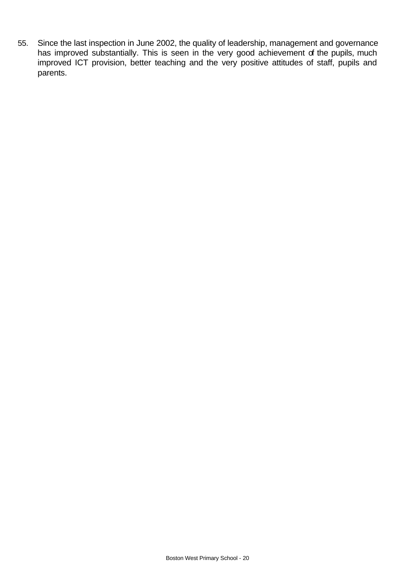55. Since the last inspection in June 2002, the quality of leadership, management and governance has improved substantially. This is seen in the very good achievement of the pupils, much improved ICT provision, better teaching and the very positive attitudes of staff, pupils and parents.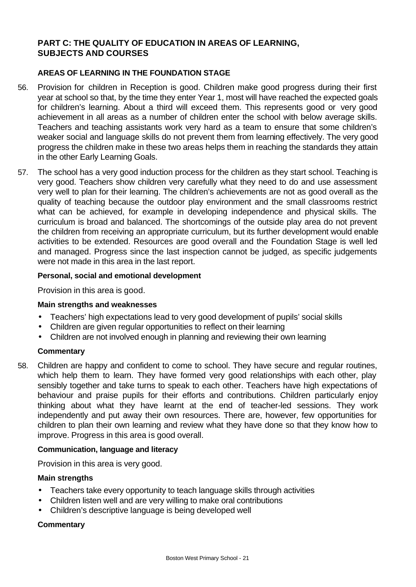# **PART C: THE QUALITY OF EDUCATION IN AREAS OF LEARNING, SUBJECTS AND COURSES**

#### **AREAS OF LEARNING IN THE FOUNDATION STAGE**

- 56. Provision for children in Reception is good. Children make good progress during their first year at school so that, by the time they enter Year 1, most will have reached the expected goals for children's learning. About a third will exceed them. This represents good or very good achievement in all areas as a number of children enter the school with below average skills. Teachers and teaching assistants work very hard as a team to ensure that some children's weaker social and language skills do not prevent them from learning effectively. The very good progress the children make in these two areas helps them in reaching the standards they attain in the other Early Learning Goals.
- 57. The school has a very good induction process for the children as they start school. Teaching is very good. Teachers show children very carefully what they need to do and use assessment very well to plan for their learning. The children's achievements are not as good overall as the quality of teaching because the outdoor play environment and the small classrooms restrict what can be achieved, for example in developing independence and physical skills. The curriculum is broad and balanced. The shortcomings of the outside play area do not prevent the children from receiving an appropriate curriculum, but its further development would enable activities to be extended. Resources are good overall and the Foundation Stage is well led and managed. Progress since the last inspection cannot be judged, as specific judgements were not made in this area in the last report.

#### **Personal, social and emotional development**

Provision in this area is good.

#### **Main strengths and weaknesses**

- Teachers' high expectations lead to very good development of pupils' social skills
- Children are given regular opportunities to reflect on their learning
- Children are not involved enough in planning and reviewing their own learning

#### **Commentary**

58. Children are happy and confident to come to school. They have secure and regular routines, which help them to learn. They have formed very good relationships with each other, play sensibly together and take turns to speak to each other. Teachers have high expectations of behaviour and praise pupils for their efforts and contributions. Children particularly enjoy thinking about what they have learnt at the end of teacher-led sessions. They work independently and put away their own resources. There are, however, few opportunities for children to plan their own learning and review what they have done so that they know how to improve. Progress in this area is good overall.

#### **Communication, language and literacy**

Provision in this area is very good.

#### **Main strengths**

- Teachers take every opportunity to teach language skills through activities
- Children listen well and are very willing to make oral contributions
- Children's descriptive language is being developed well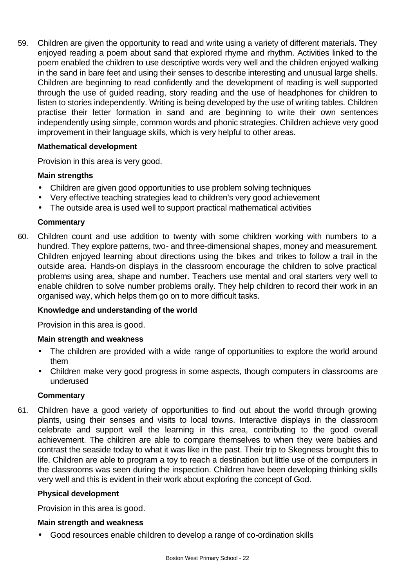59. Children are given the opportunity to read and write using a variety of different materials. They enjoyed reading a poem about sand that explored rhyme and rhythm. Activities linked to the poem enabled the children to use descriptive words very well and the children enjoyed walking in the sand in bare feet and using their senses to describe interesting and unusual large shells. Children are beginning to read confidently and the development of reading is well supported through the use of guided reading, story reading and the use of headphones for children to listen to stories independently. Writing is being developed by the use of writing tables. Children practise their letter formation in sand and are beginning to write their own sentences independently using simple, common words and phonic strategies. Children achieve very good improvement in their language skills, which is very helpful to other areas.

#### **Mathematical development**

Provision in this area is very good.

#### **Main strengths**

- Children are given good opportunities to use problem solving techniques
- Very effective teaching strategies lead to children's very good achievement
- The outside area is used well to support practical mathematical activities

#### **Commentary**

60. Children count and use addition to twenty with some children working with numbers to a hundred. They explore patterns, two- and three-dimensional shapes, money and measurement. Children enjoyed learning about directions using the bikes and trikes to follow a trail in the outside area. Hands-on displays in the classroom encourage the children to solve practical problems using area, shape and number. Teachers use mental and oral starters very well to enable children to solve number problems orally. They help children to record their work in an organised way, which helps them go on to more difficult tasks.

#### **Knowledge and understanding of the world**

Provision in this area is good.

#### **Main strength and weakness**

- The children are provided with a wide range of opportunities to explore the world around them
- Children make very good progress in some aspects, though computers in classrooms are underused

#### **Commentary**

61. Children have a good variety of opportunities to find out about the world through growing plants, using their senses and visits to local towns. Interactive displays in the classroom celebrate and support well the learning in this area, contributing to the good overall achievement. The children are able to compare themselves to when they were babies and contrast the seaside today to what it was like in the past. Their trip to Skegness brought this to life. Children are able to program a toy to reach a destination but little use of the computers in the classrooms was seen during the inspection. Children have been developing thinking skills very well and this is evident in their work about exploring the concept of God.

#### **Physical development**

Provision in this area is good.

#### **Main strength and weakness**

• Good resources enable children to develop a range of co-ordination skills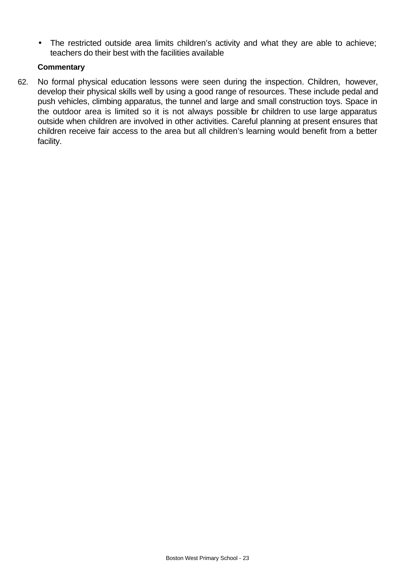• The restricted outside area limits children's activity and what they are able to achieve; teachers do their best with the facilities available

## **Commentary**

62. No formal physical education lessons were seen during the inspection. Children, however, develop their physical skills well by using a good range of resources. These include pedal and push vehicles, climbing apparatus, the tunnel and large and small construction toys. Space in the outdoor area is limited so it is not always possible for children to use large apparatus outside when children are involved in other activities. Careful planning at present ensures that children receive fair access to the area but all children's learning would benefit from a better facility.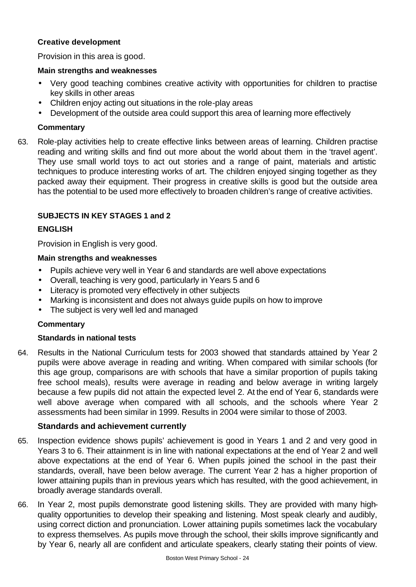## **Creative development**

Provision in this area is good.

## **Main strengths and weaknesses**

- Very good teaching combines creative activity with opportunities for children to practise key skills in other areas
- Children enjoy acting out situations in the role-play areas
- Development of the outside area could support this area of learning more effectively

# **Commentary**

63. Role-play activities help to create effective links between areas of learning. Children practise reading and writing skills and find out more about the world about them in the 'travel agent'. They use small world toys to act out stories and a range of paint, materials and artistic techniques to produce interesting works of art. The children enjoyed singing together as they packed away their equipment. Their progress in creative skills is good but the outside area has the potential to be used more effectively to broaden children's range of creative activities.

# **SUBJECTS IN KEY STAGES 1 and 2**

## **ENGLISH**

Provision in English is very good.

### **Main strengths and weaknesses**

- Pupils achieve very well in Year 6 and standards are well above expectations
- Overall, teaching is very good, particularly in Years 5 and 6
- Literacy is promoted very effectively in other subjects
- Marking is inconsistent and does not always guide pupils on how to improve
- The subject is very well led and managed

# **Commentary**

### **Standards in national tests**

64. Results in the National Curriculum tests for 2003 showed that standards attained by Year 2 pupils were above average in reading and writing. When compared with similar schools (for this age group, comparisons are with schools that have a similar proportion of pupils taking free school meals), results were average in reading and below average in writing largely because a few pupils did not attain the expected level 2. At the end of Year 6, standards were well above average when compared with all schools, and the schools where Year 2 assessments had been similar in 1999. Results in 2004 were similar to those of 2003.

# **Standards and achievement currently**

- 65. Inspection evidence shows pupils' achievement is good in Years 1 and 2 and very good in Years 3 to 6. Their attainment is in line with national expectations at the end of Year 2 and well above expectations at the end of Year 6. When pupils joined the school in the past their standards, overall, have been below average. The current Year 2 has a higher proportion of lower attaining pupils than in previous years which has resulted, with the good achievement, in broadly average standards overall.
- 66. In Year 2, most pupils demonstrate good listening skills. They are provided with many highquality opportunities to develop their speaking and listening. Most speak clearly and audibly, using correct diction and pronunciation. Lower attaining pupils sometimes lack the vocabulary to express themselves. As pupils move through the school, their skills improve significantly and by Year 6, nearly all are confident and articulate speakers, clearly stating their points of view.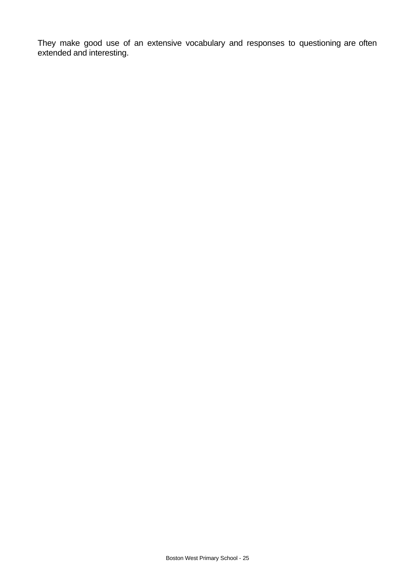They make good use of an extensive vocabulary and responses to questioning are often extended and interesting.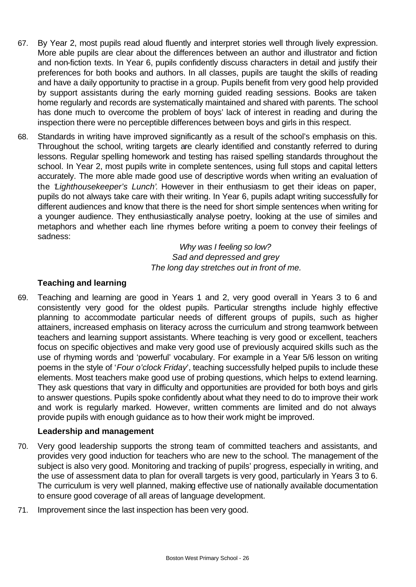- 67. By Year 2, most pupils read aloud fluently and interpret stories well through lively expression. More able pupils are clear about the differences between an author and illustrator and fiction and non-fiction texts. In Year 6, pupils confidently discuss characters in detail and justify their preferences for both books and authors. In all classes, pupils are taught the skills of reading and have a daily opportunity to practise in a group. Pupils benefit from very good help provided by support assistants during the early morning guided reading sessions. Books are taken home regularly and records are systematically maintained and shared with parents. The school has done much to overcome the problem of boys' lack of interest in reading and during the inspection there were no perceptible differences between boys and girls in this respect.
- 68. Standards in writing have improved significantly as a result of the school's emphasis on this. Throughout the school, writing targets are clearly identified and constantly referred to during lessons. Regular spelling homework and testing has raised spelling standards throughout the school. In Year 2, most pupils write in complete sentences, using full stops and capital letters accurately. The more able made good use of descriptive words when writing an evaluation of the '*Lighthousekeeper's Lunch'*. However in their enthusiasm to get their ideas on paper, pupils do not always take care with their writing. In Year 6, pupils adapt writing successfully for different audiences and know that there is the need for short simple sentences when writing for a younger audience. They enthusiastically analyse poetry, looking at the use of similes and metaphors and whether each line rhymes before writing a poem to convey their feelings of sadness:

*Why was I feeling so low? Sad and depressed and grey The long day stretches out in front of me.*

# **Teaching and learning**

69. Teaching and learning are good in Years 1 and 2, very good overall in Years 3 to 6 and consistently very good for the oldest pupils. Particular strengths include highly effective planning to accommodate particular needs of different groups of pupils, such as higher attainers, increased emphasis on literacy across the curriculum and strong teamwork between teachers and learning support assistants. Where teaching is very good or excellent, teachers focus on specific objectives and make very good use of previously acquired skills such as the use of rhyming words and 'powerful' vocabulary. For example in a Year 5/6 lesson on writing poems in the style of '*Four o'clock Friday*', teaching successfully helped pupils to include these elements. Most teachers make good use of probing questions, which helps to extend learning. They ask questions that vary in difficulty and opportunities are provided for both boys and girls to answer questions. Pupils spoke confidently about what they need to do to improve their work and work is regularly marked. However, written comments are limited and do not always provide pupils with enough guidance as to how their work might be improved.

### **Leadership and management**

- 70. Very good leadership supports the strong team of committed teachers and assistants, and provides very good induction for teachers who are new to the school. The management of the subject is also very good. Monitoring and tracking of pupils' progress, especially in writing, and the use of assessment data to plan for overall targets is very good, particularly in Years 3 to 6. The curriculum is very well planned, making effective use of nationally available documentation to ensure good coverage of all areas of language development.
- 71. Improvement since the last inspection has been very good.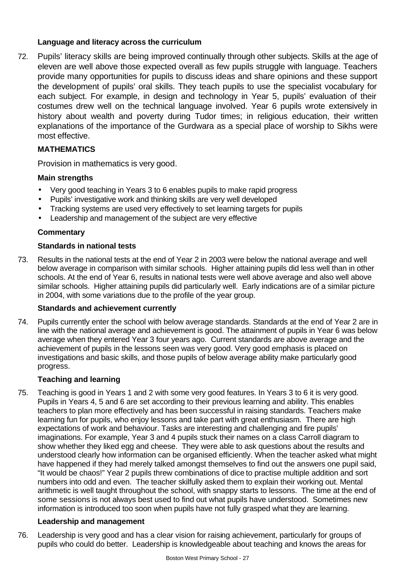#### **Language and literacy across the curriculum**

72. Pupils' literacy skills are being improved continually through other subjects. Skills at the age of eleven are well above those expected overall as few pupils struggle with language. Teachers provide many opportunities for pupils to discuss ideas and share opinions and these support the development of pupils' oral skills. They teach pupils to use the specialist vocabulary for each subject. For example, in design and technology in Year 5, pupils' evaluation of their costumes drew well on the technical language involved. Year 6 pupils wrote extensively in history about wealth and poverty during Tudor times; in religious education, their written explanations of the importance of the Gurdwara as a special place of worship to Sikhs were most effective.

## **MATHEMATICS**

Provision in mathematics is very good.

### **Main strengths**

- Very good teaching in Years 3 to 6 enables pupils to make rapid progress
- Pupils' investigative work and thinking skills are very well developed
- Tracking systems are used very effectively to set learning targets for pupils
- Leadership and management of the subject are very effective

#### **Commentary**

#### **Standards in national tests**

73. Results in the national tests at the end of Year 2 in 2003 were below the national average and well below average in comparison with similar schools. Higher attaining pupils did less well than in other schools. At the end of Year 6, results in national tests were well above average and also well above similar schools. Higher attaining pupils did particularly well. Early indications are of a similar picture in 2004, with some variations due to the profile of the year group.

### **Standards and achievement currently**

74. Pupils currently enter the school with below average standards. Standards at the end of Year 2 are in line with the national average and achievement is good. The attainment of pupils in Year 6 was below average when they entered Year 3 four years ago. Current standards are above average and the achievement of pupils in the lessons seen was very good. Very good emphasis is placed on investigations and basic skills, and those pupils of below average ability make particularly good progress.

#### **Teaching and learning**

75. Teaching is good in Years 1 and 2 with some very good features. In Years 3 to 6 it is very good. Pupils in Years 4, 5 and 6 are set according to their previous learning and ability. This enables teachers to plan more effectively and has been successful in raising standards. Teachers make learning fun for pupils, who enjoy lessons and take part with great enthusiasm. There are high expectations of work and behaviour. Tasks are interesting and challenging and fire pupils' imaginations. For example, Year 3 and 4 pupils stuck their names on a class Carroll diagram to show whether they liked egg and cheese. They were able to ask questions about the results and understood clearly how information can be organised efficiently. When the teacher asked what might have happened if they had merely talked amongst themselves to find out the answers one pupil said, "It would be chaos!" Year 2 pupils threw combinations of dice to practise multiple addition and sort numbers into odd and even. The teacher skilfully asked them to explain their working out. Mental arithmetic is well taught throughout the school, with snappy starts to lessons. The time at the end of some sessions is not always best used to find out what pupils have understood. Sometimes new information is introduced too soon when pupils have not fully grasped what they are learning.

#### **Leadership and management**

76. Leadership is very good and has a clear vision for raising achievement, particularly for groups of pupils who could do better. Leadership is knowledgeable about teaching and knows the areas for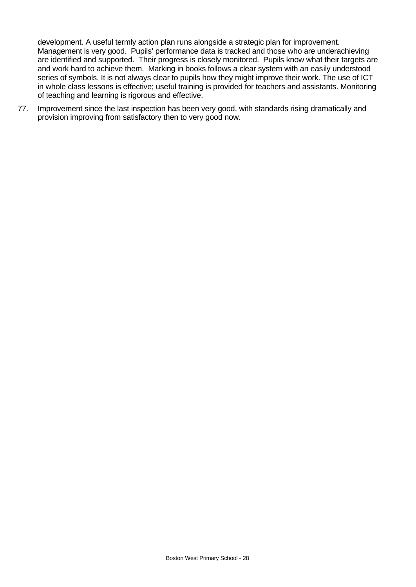development. A useful termly action plan runs alongside a strategic plan for improvement. Management is very good. Pupils' performance data is tracked and those who are underachieving are identified and supported. Their progress is closely monitored. Pupils know what their targets are and work hard to achieve them. Marking in books follows a clear system with an easily understood series of symbols. It is not always clear to pupils how they might improve their work. The use of ICT in whole class lessons is effective; useful training is provided for teachers and assistants. Monitoring of teaching and learning is rigorous and effective.

77. Improvement since the last inspection has been very good, with standards rising dramatically and provision improving from satisfactory then to very good now.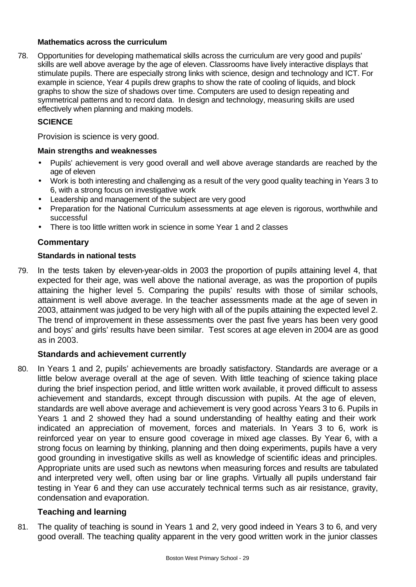#### **Mathematics across the curriculum**

78. Opportunities for developing mathematical skills across the curriculum are very good and pupils' skills are well above average by the age of eleven. Classrooms have lively interactive displays that stimulate pupils. There are especially strong links with science, design and technology and ICT. For example in science, Year 4 pupils drew graphs to show the rate of cooling of liquids, and block graphs to show the size of shadows over time. Computers are used to design repeating and symmetrical patterns and to record data. In design and technology, measuring skills are used effectively when planning and making models.

## **SCIENCE**

Provision is science is very good.

#### **Main strengths and weaknesses**

- Pupils' achievement is very good overall and well above average standards are reached by the age of eleven
- Work is both interesting and challenging as a result of the very good quality teaching in Years 3 to 6, with a strong focus on investigative work
- Leadership and management of the subject are very good
- Preparation for the National Curriculum assessments at age eleven is rigorous, worthwhile and successful
- There is too little written work in science in some Year 1 and 2 classes

### **Commentary**

#### **Standards in national tests**

79. In the tests taken by eleven-year-olds in 2003 the proportion of pupils attaining level 4, that expected for their age, was well above the national average, as was the proportion of pupils attaining the higher level 5. Comparing the pupils' results with those of similar schools, attainment is well above average. In the teacher assessments made at the age of seven in 2003, attainment was judged to be very high with all of the pupils attaining the expected level 2. The trend of improvement in these assessments over the past five years has been very good and boys' and girls' results have been similar. Test scores at age eleven in 2004 are as good as in 2003.

### **Standards and achievement currently**

80. In Years 1 and 2, pupils' achievements are broadly satisfactory. Standards are average or a little below average overall at the age of seven. With little teaching of science taking place during the brief inspection period, and little written work available, it proved difficult to assess achievement and standards, except through discussion with pupils. At the age of eleven, standards are well above average and achievement is very good across Years 3 to 6. Pupils in Years 1 and 2 showed they had a sound understanding of healthy eating and their work indicated an appreciation of movement, forces and materials. In Years 3 to 6, work is reinforced year on year to ensure good coverage in mixed age classes. By Year 6, with a strong focus on learning by thinking, planning and then doing experiments, pupils have a very good grounding in investigative skills as well as knowledge of scientific ideas and principles. Appropriate units are used such as newtons when measuring forces and results are tabulated and interpreted very well, often using bar or line graphs. Virtually all pupils understand fair testing in Year 6 and they can use accurately technical terms such as air resistance, gravity, condensation and evaporation.

### **Teaching and learning**

81. The quality of teaching is sound in Years 1 and 2, very good indeed in Years 3 to 6, and very good overall. The teaching quality apparent in the very good written work in the junior classes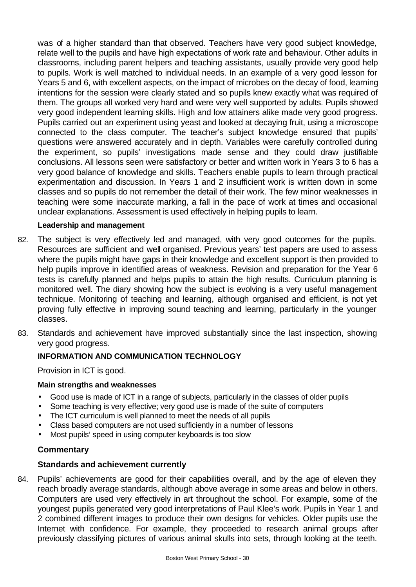was of a higher standard than that observed. Teachers have very good subject knowledge, relate well to the pupils and have high expectations of work rate and behaviour. Other adults in classrooms, including parent helpers and teaching assistants, usually provide very good help to pupils. Work is well matched to individual needs. In an example of a very good lesson for Years 5 and 6, with excellent aspects, on the impact of microbes on the decay of food, learning intentions for the session were clearly stated and so pupils knew exactly what was required of them. The groups all worked very hard and were very well supported by adults. Pupils showed very good independent learning skills. High and low attainers alike made very good progress. Pupils carried out an experiment using yeast and looked at decaying fruit, using a microscope connected to the class computer. The teacher's subject knowledge ensured that pupils' questions were answered accurately and in depth. Variables were carefully controlled during the experiment, so pupils' investigations made sense and they could draw justifiable conclusions. All lessons seen were satisfactory or better and written work in Years 3 to 6 has a very good balance of knowledge and skills. Teachers enable pupils to learn through practical experimentation and discussion. In Years 1 and 2 insufficient work is written down in some classes and so pupils do not remember the detail of their work. The few minor weaknesses in teaching were some inaccurate marking, a fall in the pace of work at times and occasional unclear explanations. Assessment is used effectively in helping pupils to learn.

### **Leadership and management**

- 82. The subject is very effectively led and managed, with very good outcomes for the pupils. Resources are sufficient and well organised. Previous years' test papers are used to assess where the pupils might have gaps in their knowledge and excellent support is then provided to help pupils improve in identified areas of weakness. Revision and preparation for the Year 6 tests is carefully planned and helps pupils to attain the high results. Curriculum planning is monitored well. The diary showing how the subject is evolving is a very useful management technique. Monitoring of teaching and learning, although organised and efficient, is not yet proving fully effective in improving sound teaching and learning, particularly in the younger classes.
- 83. Standards and achievement have improved substantially since the last inspection, showing very good progress.

# **INFORMATION AND COMMUNICATION TECHNOLOGY**

Provision in ICT is good.

### **Main strengths and weaknesses**

- Good use is made of ICT in a range of subjects, particularly in the classes of older pupils
- Some teaching is very effective; very good use is made of the suite of computers
- The ICT curriculum is well planned to meet the needs of all pupils
- Class based computers are not used sufficiently in a number of lessons
- Most pupils' speed in using computer keyboards is too slow

# **Commentary**

# **Standards and achievement currently**

84. Pupils' achievements are good for their capabilities overall, and by the age of eleven they reach broadly average standards, although above average in some areas and below in others. Computers are used very effectively in art throughout the school. For example, some of the youngest pupils generated very good interpretations of Paul Klee's work. Pupils in Year 1 and 2 combined different images to produce their own designs for vehicles. Older pupils use the Internet with confidence. For example, they proceeded to research animal groups after previously classifying pictures of various animal skulls into sets, through looking at the teeth.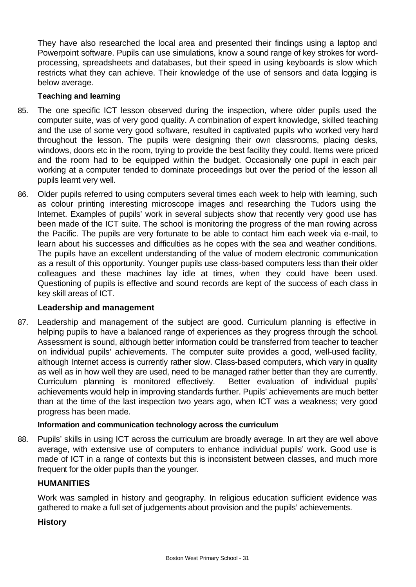They have also researched the local area and presented their findings using a laptop and Powerpoint software. Pupils can use simulations, know a sound range of key strokes for wordprocessing, spreadsheets and databases, but their speed in using keyboards is slow which restricts what they can achieve. Their knowledge of the use of sensors and data logging is below average.

### **Teaching and learning**

- 85. The one specific ICT lesson observed during the inspection, where older pupils used the computer suite, was of very good quality. A combination of expert knowledge, skilled teaching and the use of some very good software, resulted in captivated pupils who worked very hard throughout the lesson. The pupils were designing their own classrooms, placing desks, windows, doors etc in the room, trying to provide the best facility they could. Items were priced and the room had to be equipped within the budget. Occasionally one pupil in each pair working at a computer tended to dominate proceedings but over the period of the lesson all pupils learnt very well.
- 86. Older pupils referred to using computers several times each week to help with learning, such as colour printing interesting microscope images and researching the Tudors using the Internet. Examples of pupils' work in several subjects show that recently very good use has been made of the ICT suite. The school is monitoring the progress of the man rowing across the Pacific. The pupils are very fortunate to be able to contact him each week via e-mail, to learn about his successes and difficulties as he copes with the sea and weather conditions. The pupils have an excellent understanding of the value of modern electronic communication as a result of this opportunity. Younger pupils use class-based computers less than their older colleagues and these machines lay idle at times, when they could have been used. Questioning of pupils is effective and sound records are kept of the success of each class in key skill areas of ICT.

### **Leadership and management**

87. Leadership and management of the subject are good. Curriculum planning is effective in helping pupils to have a balanced range of experiences as they progress through the school. Assessment is sound, although better information could be transferred from teacher to teacher on individual pupils' achievements. The computer suite provides a good, well-used facility, although Internet access is currently rather slow. Class-based computers, which vary in quality as well as in how well they are used, need to be managed rather better than they are currently. Curriculum planning is monitored effectively. Better evaluation of individual pupils' achievements would help in improving standards further. Pupils' achievements are much better than at the time of the last inspection two years ago, when ICT was a weakness; very good progress has been made.

### **Information and communication technology across the curriculum**

88. Pupils' skills in using ICT across the curriculum are broadly average. In art they are well above average, with extensive use of computers to enhance individual pupils' work. Good use is made of ICT in a range of contexts but this is inconsistent between classes, and much more frequent for the older pupils than the younger.

### **HUMANITIES**

Work was sampled in history and geography. In religious education sufficient evidence was gathered to make a full set of judgements about provision and the pupils' achievements.

### **History**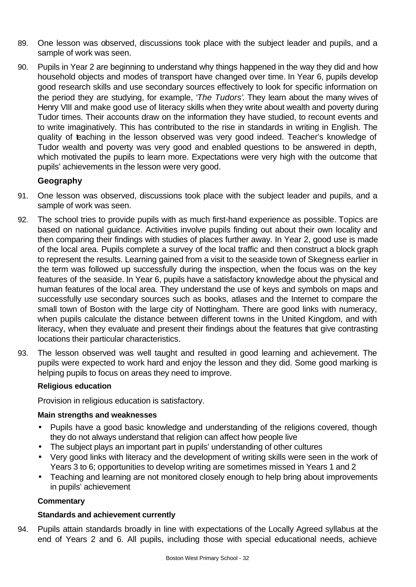- 89. One lesson was observed, discussions took place with the subject leader and pupils, and a sample of work was seen.
- 90. Pupils in Year 2 are beginning to understand why things happened in the way they did and how household objects and modes of transport have changed over time. In Year 6, pupils develop good research skills and use secondary sources effectively to look for specific information on the period they are studying, for example, '*The Tudors'*. They learn about the many wives of Henry VIII and make good use of literacy skills when they write about wealth and poverty during Tudor times. Their accounts draw on the information they have studied, to recount events and to write imaginatively. This has contributed to the rise in standards in writing in English. The quality of teaching in the lesson observed was very good indeed. Teacher's knowledge of Tudor wealth and poverty was very good and enabled questions to be answered in depth, which motivated the pupils to learn more. Expectations were very high with the outcome that pupils' achievements in the lesson were very good.

## **Geography**

- 91. One lesson was observed, discussions took place with the subject leader and pupils, and a sample of work was seen.
- 92. The school tries to provide pupils with as much first-hand experience as possible. Topics are based on national guidance. Activities involve pupils finding out about their own locality and then comparing their findings with studies of places further away. In Year 2, good use is made of the local area. Pupils complete a survey of the local traffic and then construct a block graph to represent the results. Learning gained from a visit to the seaside town of Skegness earlier in the term was followed up successfully during the inspection, when the focus was on the key features of the seaside. In Year 6, pupils have a satisfactory knowledge about the physical and human features of the local area. They understand the use of keys and symbols on maps and successfully use secondary sources such as books, atlases and the Internet to compare the small town of Boston with the large city of Nottingham. There are good links with numeracy, when pupils calculate the distance between different towns in the United Kingdom, and with literacy, when they evaluate and present their findings about the features that give contrasting locations their particular characteristics.
- 93. The lesson observed was well taught and resulted in good learning and achievement. The pupils were expected to work hard and enjoy the lesson and they did. Some good marking is helping pupils to focus on areas they need to improve.

### **Religious education**

Provision in religious education is satisfactory.

#### **Main strengths and weaknesses**

- Pupils have a good basic knowledge and understanding of the religions covered, though they do not always understand that religion can affect how people live
- The subject plays an important part in pupils' understanding of other cultures
- Very good links with literacy and the development of writing skills were seen in the work of Years 3 to 6; opportunities to develop writing are sometimes missed in Years 1 and 2
- Teaching and learning are not monitored closely enough to help bring about improvements in pupils' achievement

### **Commentary**

### **Standards and achievement currently**

94. Pupils attain standards broadly in line with expectations of the Locally Agreed syllabus at the end of Years 2 and 6. All pupils, including those with special educational needs, achieve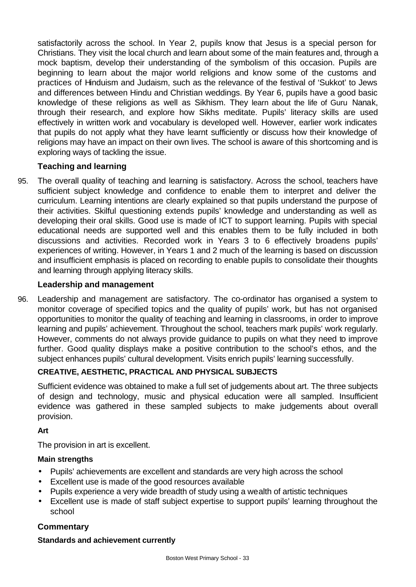satisfactorily across the school. In Year 2, pupils know that Jesus is a special person for Christians. They visit the local church and learn about some of the main features and, through a mock baptism, develop their understanding of the symbolism of this occasion. Pupils are beginning to learn about the major world religions and know some of the customs and practices of Hinduism and Judaism, such as the relevance of the festival of 'Sukkot' to Jews and differences between Hindu and Christian weddings. By Year 6, pupils have a good basic knowledge of these religions as well as Sikhism. They learn about the life of Guru Nanak, through their research, and explore how Sikhs meditate. Pupils' literacy skills are used effectively in written work and vocabulary is developed well. However, earlier work indicates that pupils do not apply what they have learnt sufficiently or discuss how their knowledge of religions may have an impact on their own lives. The school is aware of this shortcoming and is exploring ways of tackling the issue.

# **Teaching and learning**

95. The overall quality of teaching and learning is satisfactory. Across the school, teachers have sufficient subject knowledge and confidence to enable them to interpret and deliver the curriculum. Learning intentions are clearly explained so that pupils understand the purpose of their activities. Skilful questioning extends pupils' knowledge and understanding as well as developing their oral skills. Good use is made of ICT to support learning. Pupils with special educational needs are supported well and this enables them to be fully included in both discussions and activities. Recorded work in Years 3 to 6 effectively broadens pupils' experiences of writing. However, in Years 1 and 2 much of the learning is based on discussion and insufficient emphasis is placed on recording to enable pupils to consolidate their thoughts and learning through applying literacy skills.

## **Leadership and management**

96. Leadership and management are satisfactory. The co-ordinator has organised a system to monitor coverage of specified topics and the quality of pupils' work, but has not organised opportunities to monitor the quality of teaching and learning in classrooms, in order to improve learning and pupils' achievement. Throughout the school, teachers mark pupils' work regularly. However, comments do not always provide guidance to pupils on what they need to improve further. Good quality displays make a positive contribution to the school's ethos, and the subject enhances pupils' cultural development. Visits enrich pupils' learning successfully.

# **CREATIVE, AESTHETIC, PRACTICAL AND PHYSICAL SUBJECTS**

Sufficient evidence was obtained to make a full set of judgements about art. The three subjects of design and technology, music and physical education were all sampled. Insufficient evidence was gathered in these sampled subjects to make judgements about overall provision.

# **Art**

The provision in art is excellent.

### **Main strengths**

- Pupils' achievements are excellent and standards are very high across the school
- Excellent use is made of the good resources available
- Pupils experience a very wide breadth of study using a wealth of artistic techniques
- Excellent use is made of staff subject expertise to support pupils' learning throughout the school

# **Commentary**

### **Standards and achievement currently**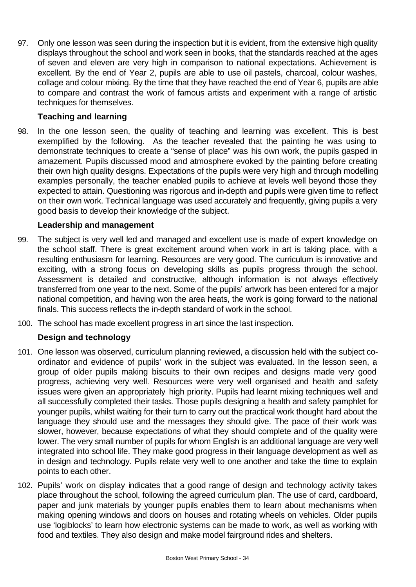97. Only one lesson was seen during the inspection but it is evident, from the extensive high quality displays throughout the school and work seen in books, that the standards reached at the ages of seven and eleven are very high in comparison to national expectations. Achievement is excellent. By the end of Year 2, pupils are able to use oil pastels, charcoal, colour washes, collage and colour mixing. By the time that they have reached the end of Year 6, pupils are able to compare and contrast the work of famous artists and experiment with a range of artistic techniques for themselves.

# **Teaching and learning**

98. In the one lesson seen, the quality of teaching and learning was excellent. This is best exemplified by the following. As the teacher revealed that the painting he was using to demonstrate techniques to create a "sense of place" was his own work, the pupils gasped in amazement. Pupils discussed mood and atmosphere evoked by the painting before creating their own high quality designs. Expectations of the pupils were very high and through modelling examples personally, the teacher enabled pupils to achieve at levels well beyond those they expected to attain. Questioning was rigorous and in-depth and pupils were given time to reflect on their own work. Technical language was used accurately and frequently, giving pupils a very good basis to develop their knowledge of the subject.

### **Leadership and management**

- 99. The subject is very well led and managed and excellent use is made of expert knowledge on the school staff. There is great excitement around when work in art is taking place, with a resulting enthusiasm for learning. Resources are very good. The curriculum is innovative and exciting, with a strong focus on developing skills as pupils progress through the school. Assessment is detailed and constructive, although information is not always effectively transferred from one year to the next. Some of the pupils' artwork has been entered for a major national competition, and having won the area heats, the work is going forward to the national finals. This success reflects the in-depth standard of work in the school.
- 100. The school has made excellent progress in art since the last inspection.

# **Design and technology**

- 101. One lesson was observed, curriculum planning reviewed, a discussion held with the subject coordinator and evidence of pupils' work in the subject was evaluated. In the lesson seen, a group of older pupils making biscuits to their own recipes and designs made very good progress, achieving very well. Resources were very well organised and health and safety issues were given an appropriately high priority. Pupils had learnt mixing techniques well and all successfully completed their tasks. Those pupils designing a health and safety pamphlet for younger pupils, whilst waiting for their turn to carry out the practical work thought hard about the language they should use and the messages they should give. The pace of their work was slower, however, because expectations of what they should complete and of the quality were lower. The very small number of pupils for whom English is an additional language are very well integrated into school life. They make good progress in their language development as well as in design and technology. Pupils relate very well to one another and take the time to explain points to each other.
- 102. Pupils' work on display indicates that a good range of design and technology activity takes place throughout the school, following the agreed curriculum plan. The use of card, cardboard, paper and junk materials by younger pupils enables them to learn about mechanisms when making opening windows and doors on houses and rotating wheels on vehicles. Older pupils use 'logiblocks' to learn how electronic systems can be made to work, as well as working with food and textiles. They also design and make model fairground rides and shelters.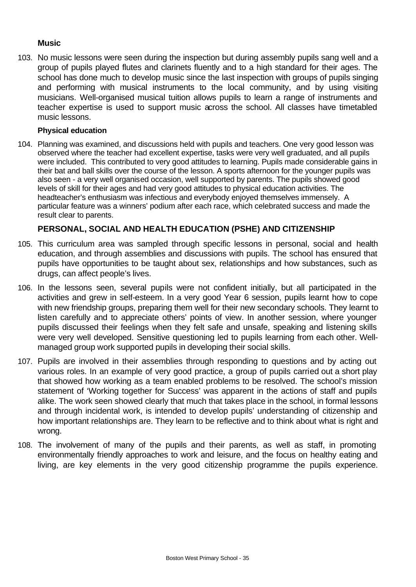## **Music**

103. No music lessons were seen during the inspection but during assembly pupils sang well and a group of pupils played flutes and clarinets fluently and to a high standard for their ages. The school has done much to develop music since the last inspection with groups of pupils singing and performing with musical instruments to the local community, and by using visiting musicians. Well-organised musical tuition allows pupils to learn a range of instruments and teacher expertise is used to support music across the school. All classes have timetabled music lessons.

#### **Physical education**

104. Planning was examined, and discussions held with pupils and teachers. One very good lesson was observed where the teacher had excellent expertise, tasks were very well graduated, and all pupils were included. This contributed to very good attitudes to learning. Pupils made considerable gains in their bat and ball skills over the course of the lesson. A sports afternoon for the younger pupils was also seen - a very well organised occasion, well supported by parents. The pupils showed good levels of skill for their ages and had very good attitudes to physical education activities. The headteacher's enthusiasm was infectious and everybody enjoyed themselves immensely. A particular feature was a winners' podium after each race, which celebrated success and made the result clear to parents.

# **PERSONAL, SOCIAL AND HEALTH EDUCATION (PSHE) AND CITIZENSHIP**

- 105. This curriculum area was sampled through specific lessons in personal, social and health education, and through assemblies and discussions with pupils. The school has ensured that pupils have opportunities to be taught about sex, relationships and how substances, such as drugs, can affect people's lives.
- 106. In the lessons seen, several pupils were not confident initially, but all participated in the activities and grew in self-esteem. In a very good Year 6 session, pupils learnt how to cope with new friendship groups, preparing them well for their new secondary schools. They learnt to listen carefully and to appreciate others' points of view. In another session, where younger pupils discussed their feelings when they felt safe and unsafe, speaking and listening skills were very well developed. Sensitive questioning led to pupils learning from each other. Wellmanaged group work supported pupils in developing their social skills.
- 107. Pupils are involved in their assemblies through responding to questions and by acting out various roles. In an example of very good practice, a group of pupils carried out a short play that showed how working as a team enabled problems to be resolved. The school's mission statement of 'Working together for Success' was apparent in the actions of staff and pupils alike. The work seen showed clearly that much that takes place in the school, in formal lessons and through incidental work, is intended to develop pupils' understanding of citizenship and how important relationships are. They learn to be reflective and to think about what is right and wrong.
- 108. The involvement of many of the pupils and their parents, as well as staff, in promoting environmentally friendly approaches to work and leisure, and the focus on healthy eating and living, are key elements in the very good citizenship programme the pupils experience.